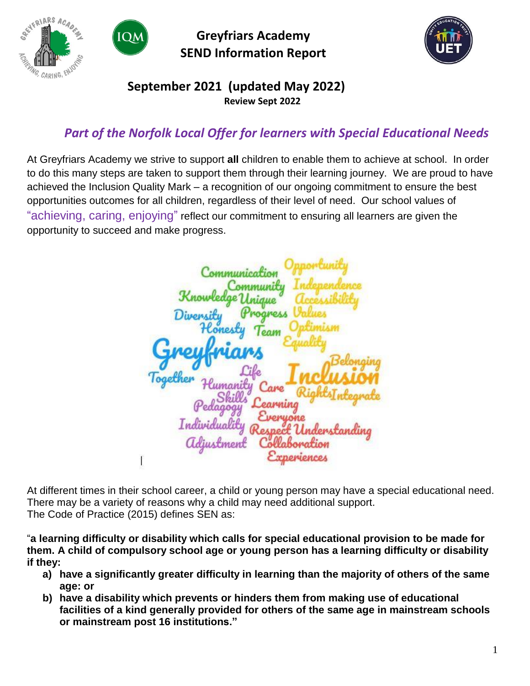



**Greyfriars Academy SEND Information Report**



### **September 2021 (updated May 2022) Review Sept 2022**

# *Part of the Norfolk Local Offer for learners with Special Educational Needs*

At Greyfriars Academy we strive to support **all** children to enable them to achieve at school. In order to do this many steps are taken to support them through their learning journey. We are proud to have achieved the Inclusion Quality Mark – a recognition of our ongoing commitment to ensure the best opportunities outcomes for all children, regardless of their level of need. Our school values of "achieving, caring, enjoying" reflect our commitment to ensuring all learners are given the opportunity to succeed and make progress.

Communicatio ommunity *<u>Inique</u>* Divensi Progress eaw arre

At different times in their school career, a child or young person may have a special educational need. There may be a variety of reasons why a child may need additional support. The Code of Practice (2015) defines SEN as:

"**a learning difficulty or disability which calls for special educational provision to be made for them. A child of compulsory school age or young person has a learning difficulty or disability if they:** 

- **a) have a significantly greater difficulty in learning than the majority of others of the same age: or**
- **b) have a disability which prevents or hinders them from making use of educational facilities of a kind generally provided for others of the same age in mainstream schools or mainstream post 16 institutions."**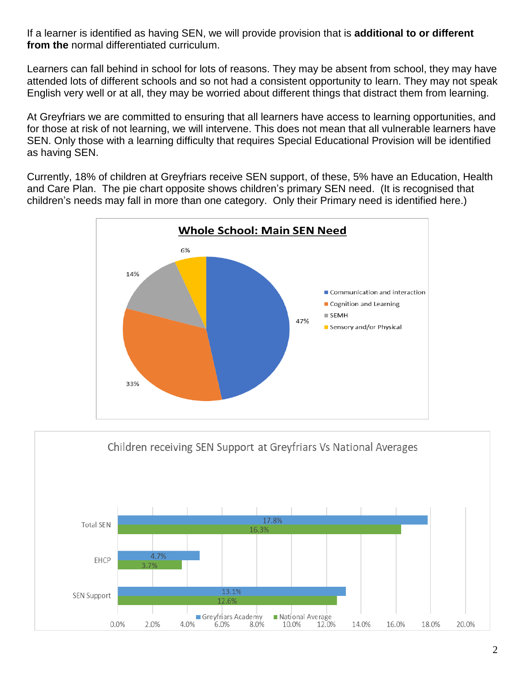If a learner is identified as having SEN, we will provide provision that is **additional to or different from the** normal differentiated curriculum.

Learners can fall behind in school for lots of reasons. They may be absent from school, they may have attended lots of different schools and so not had a consistent opportunity to learn. They may not speak English very well or at all, they may be worried about different things that distract them from learning.

At Greyfriars we are committed to ensuring that all learners have access to learning opportunities, and for those at risk of not learning, we will intervene. This does not mean that all vulnerable learners have SEN. Only those with a learning difficulty that requires Special Educational Provision will be identified as having SEN.

Currently, 18% of children at Greyfriars receive SEN support, of these, 5% have an Education, Health and Care Plan. The pie chart opposite shows children's primary SEN need. (It is recognised that children's needs may fall in more than one category. Only their Primary need is identified here.)



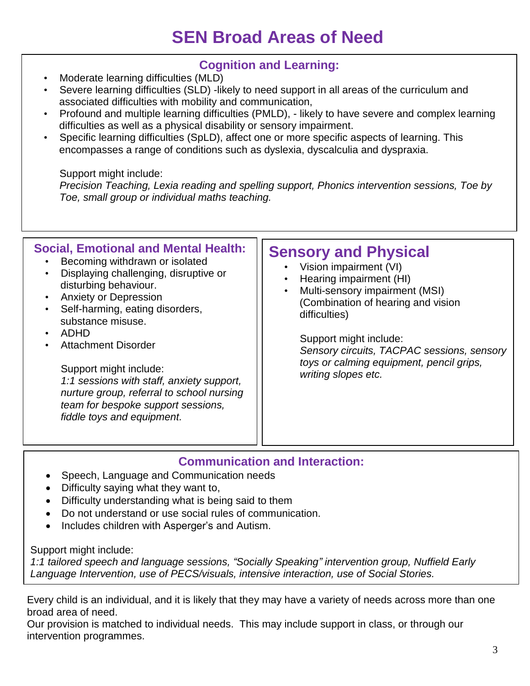# **SEN Broad Areas of Need**

### **Cognition and Learning:**

- Moderate learning difficulties (MLD)
- Severe learning difficulties (SLD) -likely to need support in all areas of the curriculum and associated difficulties with mobility and communication,
- Profound and multiple learning difficulties (PMLD), likely to have severe and complex learning difficulties as well as a physical disability or sensory impairment.
- Specific learning difficulties (SpLD), affect one or more specific aspects of learning. This encompasses a range of conditions such as dyslexia, dyscalculia and dyspraxia.

Support might include:

*Precision Teaching, Lexia reading and spelling support, Phonics intervention sessions, Toe by Toe, small group or individual maths teaching.*

| Displaying challenging, disruptive or<br>Hearing impairment (HI)<br>disturbing behaviour.<br>Multi-sensory impairment (MSI)<br>$\bullet$<br><b>Anxiety or Depression</b><br>$\bullet$<br>(Combination of hearing and vision<br>Self-harming, eating disorders,<br>$\bullet$<br>difficulties)<br>substance misuse.<br>ADHD<br>Support might include:<br><b>Attachment Disorder</b><br>٠<br>toys or calming equipment, pencil grips,<br>Support might include:<br>writing slopes etc.<br>1:1 sessions with staff, anxiety support,<br>nurture group, referral to school nursing<br>team for bespoke support sessions,<br>fiddle toys and equipment. | <b>Social, Emotional and Mental Health:</b><br>Becoming withdrawn or isolated | <b>Sensory and Physical</b><br>Vision impairment (VI)<br>Sensory circuits, TACPAC sessions, sensory |
|---------------------------------------------------------------------------------------------------------------------------------------------------------------------------------------------------------------------------------------------------------------------------------------------------------------------------------------------------------------------------------------------------------------------------------------------------------------------------------------------------------------------------------------------------------------------------------------------------------------------------------------------------|-------------------------------------------------------------------------------|-----------------------------------------------------------------------------------------------------|
|---------------------------------------------------------------------------------------------------------------------------------------------------------------------------------------------------------------------------------------------------------------------------------------------------------------------------------------------------------------------------------------------------------------------------------------------------------------------------------------------------------------------------------------------------------------------------------------------------------------------------------------------------|-------------------------------------------------------------------------------|-----------------------------------------------------------------------------------------------------|

### **Communication and Interaction:**

- Speech, Language and Communication needs
- Difficulty saying what they want to,
- Difficulty understanding what is being said to them
- Do not understand or use social rules of communication.
- Includes children with Asperger's and Autism.

Support might include:

*1:1 tailored speech and language sessions, "Socially Speaking" intervention group, Nuffield Early Language Intervention, use of PECS/visuals, intensive interaction, use of Social Stories.*

Every child is an individual, and it is likely that they may have a variety of needs across more than one broad area of need.

Our provision is matched to individual needs. This may include support in class, or through our intervention programmes.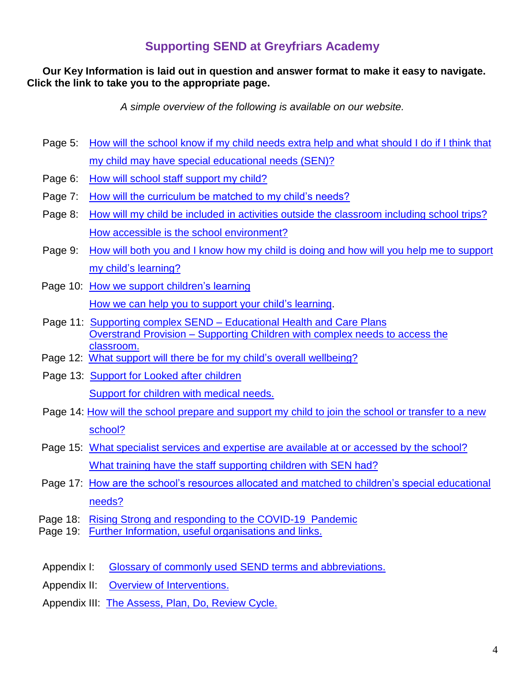#### **Our Key Information is laid out in question and answer format to make it easy to navigate. Click the link to take you to the appropriate page.**

*A simple overview of the following is available on our website.*

- Page 5: How will the school know if my child needs [extra help and what should I do](#page-4-0) if I think that [my child may have special educational needs](#page-4-0) (SEN)?
- Page 6: [How will school staff support my child?](#page-5-0)
- Page 7: [How will the curriculum be matched to my child's needs?](#page-6-0)
- Page 8: How will my child be [included in activities outside the classroom including school trips?](#page-7-0) [How accessible is the school environment?](#page-7-1)
- Page 9: How will both you and I know [how my child is doing and how will you help me to support](#page-8-0)  [my child's](#page-8-0) learning?
- Page 10: [How we support children's learning](#page-9-0) [How we can help you to support your child's learning.](#page-9-1)
- Page 11: Supporting complex SEND [Educational Health and Care Plans](#page-10-0) Overstrand Provision – [Supporting Children with complex needs to access the](#page-10-1)  [classroom.](#page-10-1)
- Page 12: [What support will there](#page-11-0) be for my child's overall wellbeing?
- Page 13: [Support for Looked after children](#page-12-0) [Support for children with medical needs.](#page-12-1)
- Page 14: [How will the school prepare and support my child to join the school or transfer to a new](#page-13-0)  [school?](#page-13-0)
- Page 15: [What specialist services and expertise are available at or accessed by the school?](#page-14-0) [What training have the staff supporting children with SEN had?](#page-14-1)
- Page 17: [How are the school's resources allocated and](#page-15-0) matched to children's special educational [needs?](#page-15-0)
- Page 18: [Rising Strong and responding](#page-17-0) to the COVID-19 Pandemic
- Page 19: [Further Information, useful organisations and links.](#page-17-0)
- Appendix I: Glossary of commonly used [SEND terms and abbreviations.](#page-20-0)
- Appendix II: [Overview of Interventions.](#page-21-0)
- Appendix III: [The Assess, Plan, Do, Review Cycle.](#page-24-0)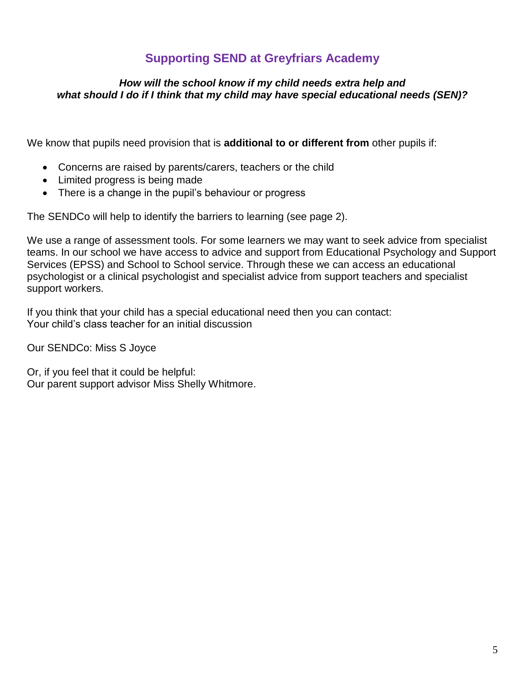#### <span id="page-4-0"></span>*How will the school know if my child needs extra help and what should I do if I think that my child may have special educational needs (SEN)?*

We know that pupils need provision that is **additional to or different from** other pupils if:

- Concerns are raised by parents/carers, teachers or the child
- Limited progress is being made
- There is a change in the pupil's behaviour or progress

The SENDCo will help to identify the barriers to learning (see page 2).

We use a range of assessment tools. For some learners we may want to seek advice from specialist teams. In our school we have access to advice and support from Educational Psychology and Support Services (EPSS) and School to School service. Through these we can access an educational psychologist or a clinical psychologist and specialist advice from support teachers and specialist support workers.

If you think that your child has a special educational need then you can contact: Your child's class teacher for an initial discussion

Our SENDCo: Miss S Joyce

Or, if you feel that it could be helpful: Our parent support advisor Miss Shelly Whitmore.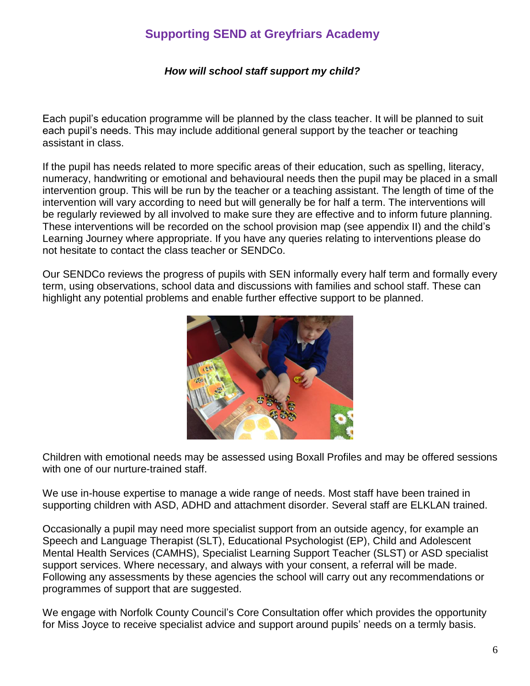#### *How will school staff support my child?*

<span id="page-5-0"></span>Each pupil's education programme will be planned by the class teacher. It will be planned to suit each pupil's needs. This may include additional general support by the teacher or teaching assistant in class.

If the pupil has needs related to more specific areas of their education, such as spelling, literacy, numeracy, handwriting or emotional and behavioural needs then the pupil may be placed in a small intervention group. This will be run by the teacher or a teaching assistant. The length of time of the intervention will vary according to need but will generally be for half a term. The interventions will be regularly reviewed by all involved to make sure they are effective and to inform future planning. These interventions will be recorded on the school provision map (see appendix II) and the child's Learning Journey where appropriate. If you have any queries relating to interventions please do not hesitate to contact the class teacher or SENDCo.

Our SENDCo reviews the progress of pupils with SEN informally every half term and formally every term, using observations, school data and discussions with families and school staff. These can highlight any potential problems and enable further effective support to be planned.



Children with emotional needs may be assessed using Boxall Profiles and may be offered sessions with one of our nurture-trained staff.

We use in-house expertise to manage a wide range of needs. Most staff have been trained in supporting children with ASD, ADHD and attachment disorder. Several staff are ELKLAN trained.

Occasionally a pupil may need more specialist support from an outside agency, for example an Speech and Language Therapist (SLT), Educational Psychologist (EP), Child and Adolescent Mental Health Services (CAMHS), Specialist Learning Support Teacher (SLST) or ASD specialist support services. Where necessary, and always with your consent, a referral will be made. Following any assessments by these agencies the school will carry out any recommendations or programmes of support that are suggested.

We engage with Norfolk County Council's Core Consultation offer which provides the opportunity for Miss Joyce to receive specialist advice and support around pupils' needs on a termly basis.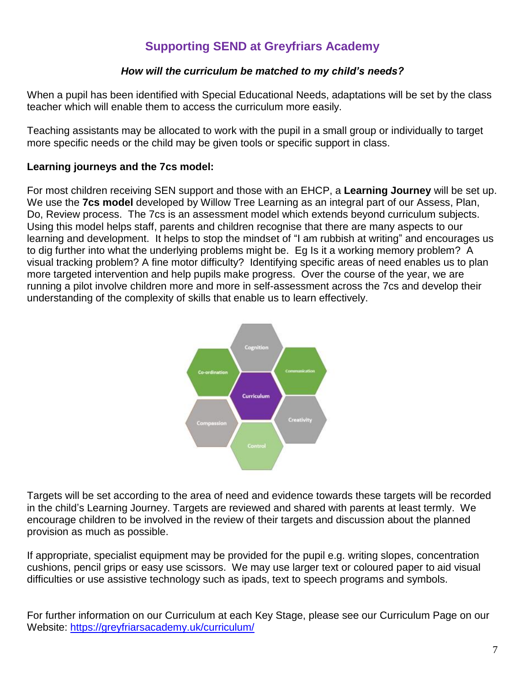#### *How will the curriculum be matched to my child's needs?*

<span id="page-6-0"></span>When a pupil has been identified with Special Educational Needs, adaptations will be set by the class teacher which will enable them to access the curriculum more easily.

Teaching assistants may be allocated to work with the pupil in a small group or individually to target more specific needs or the child may be given tools or specific support in class.

#### **Learning journeys and the 7cs model:**

For most children receiving SEN support and those with an EHCP, a **Learning Journey** will be set up. We use the **7cs model** developed by Willow Tree Learning as an integral part of our Assess, Plan, Do, Review process. The 7cs is an assessment model which extends beyond curriculum subjects. Using this model helps staff, parents and children recognise that there are many aspects to our learning and development. It helps to stop the mindset of "I am rubbish at writing" and encourages us to dig further into what the underlying problems might be. Eg Is it a working memory problem? A visual tracking problem? A fine motor difficulty? Identifying specific areas of need enables us to plan more targeted intervention and help pupils make progress. Over the course of the year, we are running a pilot involve children more and more in self-assessment across the 7cs and develop their understanding of the complexity of skills that enable us to learn effectively.



Targets will be set according to the area of need and evidence towards these targets will be recorded in the child's Learning Journey. Targets are reviewed and shared with parents at least termly. We encourage children to be involved in the review of their targets and discussion about the planned provision as much as possible.

If appropriate, specialist equipment may be provided for the pupil e.g. writing slopes, concentration cushions, pencil grips or easy use scissors. We may use larger text or coloured paper to aid visual difficulties or use assistive technology such as ipads, text to speech programs and symbols.

For further information on our Curriculum at each Key Stage, please see our Curriculum Page on our Website:<https://greyfriarsacademy.uk/curriculum/>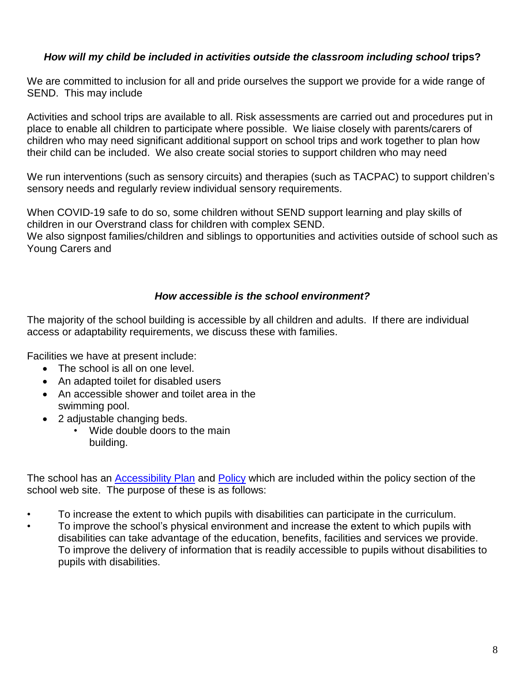#### <span id="page-7-0"></span>*How will my child be included in activities outside the classroom including school* **trips?**

We are committed to inclusion for all and pride ourselves the support we provide for a wide range of SEND. This may include

Activities and school trips are available to all. Risk assessments are carried out and procedures put in place to enable all children to participate where possible. We liaise closely with parents/carers of children who may need significant additional support on school trips and work together to plan how their child can be included. We also create social stories to support children who may need

We run interventions (such as sensory circuits) and therapies (such as TACPAC) to support children's sensory needs and regularly review individual sensory requirements.

When COVID-19 safe to do so, some children without SEND support learning and play skills of children in our Overstrand class for children with complex SEND.

We also signpost families/children and siblings to opportunities and activities outside of school such as Young Carers and

#### *How accessible is the school environment?*

<span id="page-7-1"></span>The majority of the school building is accessible by all children and adults. If there are individual access or adaptability requirements, we discuss these with families.

Facilities we have at present include:

- The school is all on one level.
- An adapted toilet for disabled users
- An accessible shower and toilet area in the swimming pool.
- 2 adjustable changing beds.
	- Wide double doors to the main building.

The school has an [Accessibility Plan](http://www.unityeducationtrust.uk/wp-content/uploads/2021/06/UET-Accessibility-Plan-2021.pdf) and [Policy](https://greyfriarsacademy.uk/wp-content/uploads/2022/01/SEND-Policy-2021-2022-1.pdf) which are included within the policy section of the school web site. The purpose of these is as follows:

- To increase the extent to which pupils with disabilities can participate in the curriculum.
- To improve the school's physical environment and increase the extent to which pupils with disabilities can take advantage of the education, benefits, facilities and services we provide. To improve the delivery of information that is readily accessible to pupils without disabilities to pupils with disabilities.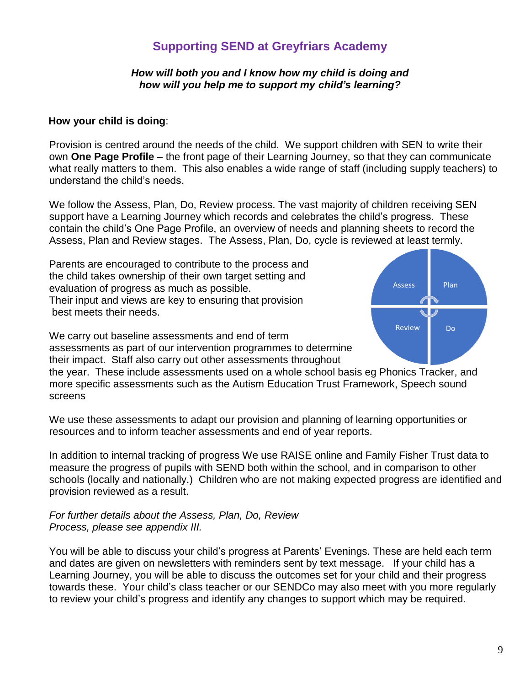#### *How will both you and I know how my child is doing and how will you help me to support my child's learning?*

#### <span id="page-8-0"></span> **How your child is doing**:

Provision is centred around the needs of the child. We support children with SEN to write their own **One Page Profile** – the front page of their Learning Journey, so that they can communicate what really matters to them. This also enables a wide range of staff (including supply teachers) to understand the child's needs.

We follow the Assess, Plan, Do, Review process. The vast majority of children receiving SEN support have a Learning Journey which records and celebrates the child's progress. These contain the child's One Page Profile, an overview of needs and planning sheets to record the Assess, Plan and Review stages. The Assess, Plan, Do, cycle is reviewed at least termly.

Parents are encouraged to contribute to the process and the child takes ownership of their own target setting and evaluation of progress as much as possible. Their input and views are key to ensuring that provision best meets their needs.



We carry out baseline assessments and end of term assessments as part of our intervention programmes to determine their impact. Staff also carry out other assessments throughout

the year. These include assessments used on a whole school basis eg Phonics Tracker, and more specific assessments such as the Autism Education Trust Framework, Speech sound screens

We use these assessments to adapt our provision and planning of learning opportunities or resources and to inform teacher assessments and end of year reports.

In addition to internal tracking of progress We use RAISE online and Family Fisher Trust data to measure the progress of pupils with SEND both within the school, and in comparison to other schools (locally and nationally.) Children who are not making expected progress are identified and provision reviewed as a result.

*For further details about the Assess, Plan, Do, Review Process, please see appendix III.*

You will be able to discuss your child's progress at Parents' Evenings. These are held each term and dates are given on newsletters with reminders sent by text message. If your child has a Learning Journey, you will be able to discuss the outcomes set for your child and their progress towards these. Your child's class teacher or our SENDCo may also meet with you more regularly to review your child's progress and identify any changes to support which may be required.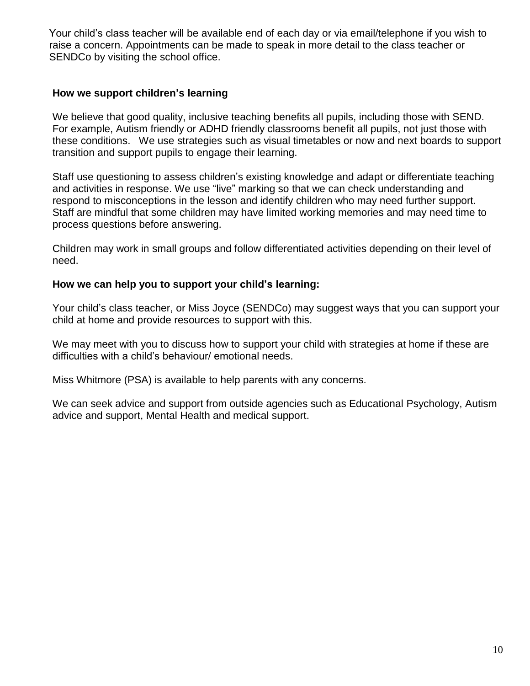Your child's class teacher will be available end of each day or via email/telephone if you wish to raise a concern. Appointments can be made to speak in more detail to the class teacher or SENDCo by visiting the school office.

#### <span id="page-9-1"></span><span id="page-9-0"></span>**How we support children's learning**

We believe that good quality, inclusive teaching benefits all pupils, including those with SEND. For example, Autism friendly or ADHD friendly classrooms benefit all pupils, not just those with these conditions. We use strategies such as visual timetables or now and next boards to support transition and support pupils to engage their learning.

Staff use questioning to assess children's existing knowledge and adapt or differentiate teaching and activities in response. We use "live" marking so that we can check understanding and respond to misconceptions in the lesson and identify children who may need further support. Staff are mindful that some children may have limited working memories and may need time to process questions before answering.

Children may work in small groups and follow differentiated activities depending on their level of need.

#### **How we can help you to support your child's learning:**

Your child's class teacher, or Miss Joyce (SENDCo) may suggest ways that you can support your child at home and provide resources to support with this.

We may meet with you to discuss how to support your child with strategies at home if these are difficulties with a child's behaviour/ emotional needs.

Miss Whitmore (PSA) is available to help parents with any concerns.

We can seek advice and support from outside agencies such as Educational Psychology, Autism advice and support, Mental Health and medical support.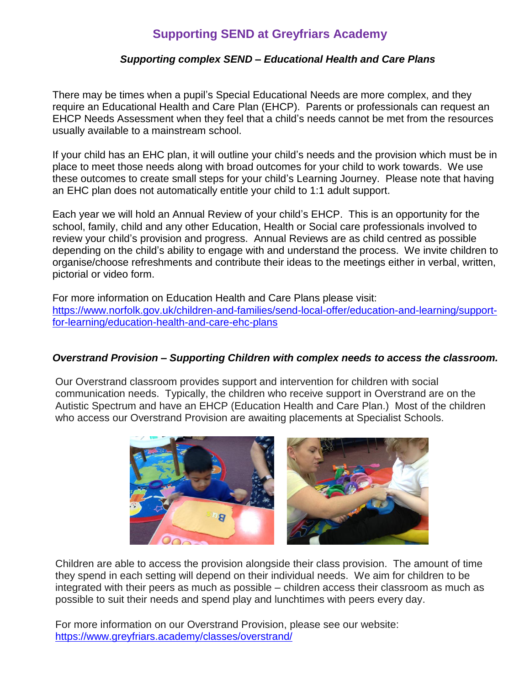#### *Supporting complex SEND – Educational Health and Care Plans*

<span id="page-10-0"></span>There may be times when a pupil's Special Educational Needs are more complex, and they require an Educational Health and Care Plan (EHCP). Parents or professionals can request an EHCP Needs Assessment when they feel that a child's needs cannot be met from the resources usually available to a mainstream school.

If your child has an EHC plan, it will outline your child's needs and the provision which must be in place to meet those needs along with broad outcomes for your child to work towards. We use these outcomes to create small steps for your child's Learning Journey. Please note that having an EHC plan does not automatically entitle your child to 1:1 adult support.

Each year we will hold an Annual Review of your child's EHCP. This is an opportunity for the school, family, child and any other Education, Health or Social care professionals involved to review your child's provision and progress. Annual Reviews are as child centred as possible depending on the child's ability to engage with and understand the process. We invite children to organise/choose refreshments and contribute their ideas to the meetings either in verbal, written, pictorial or video form.

For more information on Education Health and Care Plans please visit: [https://www.norfolk.gov.uk/children-and-families/send-local-offer/education-and-learning/support](https://www.norfolk.gov.uk/children-and-families/send-local-offer/education-and-learning/support-for-learning/education-health-and-care-ehc-plans)[for-learning/education-health-and-care-ehc-plans](https://www.norfolk.gov.uk/children-and-families/send-local-offer/education-and-learning/support-for-learning/education-health-and-care-ehc-plans)

#### <span id="page-10-1"></span>*Overstrand Provision – Supporting Children with complex needs to access the classroom.*

Our Overstrand classroom provides support and intervention for children with social communication needs. Typically, the children who receive support in Overstrand are on the Autistic Spectrum and have an EHCP (Education Health and Care Plan.) Most of the children who access our Overstrand Provision are awaiting placements at Specialist Schools.



Children are able to access the provision alongside their class provision. The amount of time they spend in each setting will depend on their individual needs. We aim for children to be integrated with their peers as much as possible – children access their classroom as much as possible to suit their needs and spend play and lunchtimes with peers every day.

For more information on our Overstrand Provision, please see our website: <https://www.greyfriars.academy/classes/overstrand/>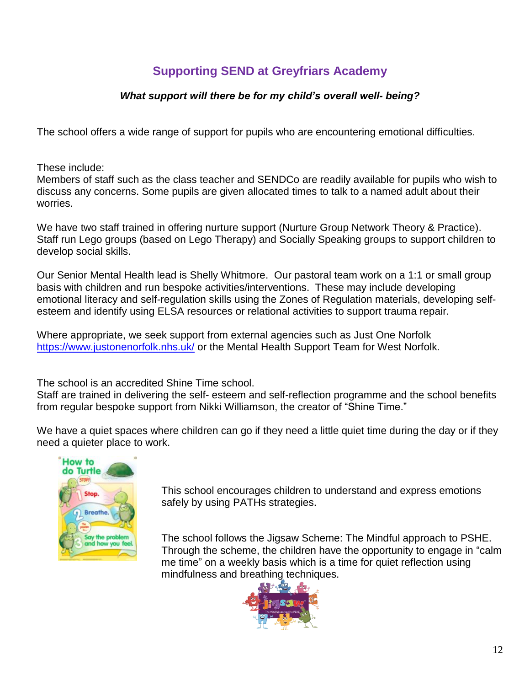#### *What support will there be for my child's overall well- being?*

<span id="page-11-0"></span>The school offers a wide range of support for pupils who are encountering emotional difficulties.

These include:

Members of staff such as the class teacher and SENDCo are readily available for pupils who wish to discuss any concerns. Some pupils are given allocated times to talk to a named adult about their worries.

We have two staff trained in offering nurture support (Nurture Group Network Theory & Practice). Staff run Lego groups (based on Lego Therapy) and Socially Speaking groups to support children to develop social skills.

Our Senior Mental Health lead is Shelly Whitmore. Our pastoral team work on a 1:1 or small group basis with children and run bespoke activities/interventions. These may include developing emotional literacy and self-regulation skills using the Zones of Regulation materials, developing selfesteem and identify using ELSA resources or relational activities to support trauma repair.

Where appropriate, we seek support from external agencies such as Just One Norfolk <https://www.justonenorfolk.nhs.uk/> or the Mental Health Support Team for West Norfolk.

The school is an accredited Shine Time school.

Staff are trained in delivering the self- esteem and self-reflection programme and the school benefits from regular bespoke support from Nikki Williamson, the creator of "Shine Time."

We have a quiet spaces where children can go if they need a little quiet time during the day or if they need a quieter place to work.



This school encourages children to understand and express emotions safely by using PATHs strategies.

The school follows the Jigsaw Scheme: The Mindful approach to PSHE. Through the scheme, the children have the opportunity to engage in "calm me time" on a weekly basis which is a time for quiet reflection using mindfulness and breathing techniques.

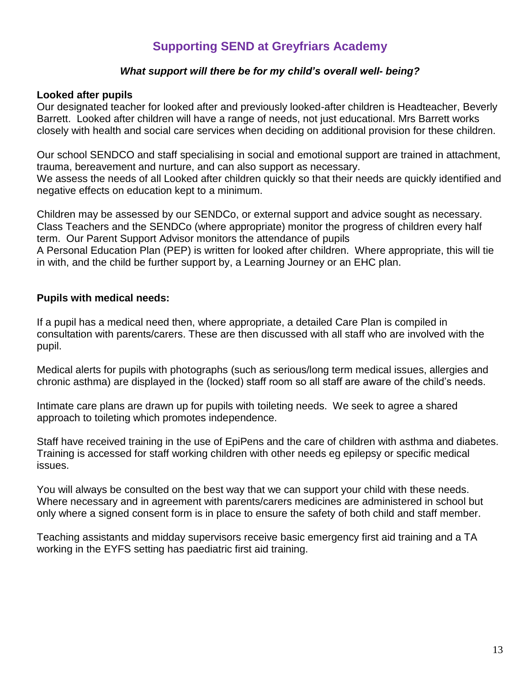#### *What support will there be for my child's overall well- being?*

#### <span id="page-12-0"></span>**Looked after pupils**

Our designated teacher for looked after and previously looked-after children is Headteacher, Beverly Barrett. Looked after children will have a range of needs, not just educational. Mrs Barrett works closely with health and social care services when deciding on additional provision for these children.

Our school SENDCO and staff specialising in social and emotional support are trained in attachment, trauma, bereavement and nurture, and can also support as necessary. We assess the needs of all Looked after children quickly so that their needs are quickly identified and negative effects on education kept to a minimum.

Children may be assessed by our SENDCo, or external support and advice sought as necessary. Class Teachers and the SENDCo (where appropriate) monitor the progress of children every half term. Our Parent Support Advisor monitors the attendance of pupils A Personal Education Plan (PEP) is written for looked after children. Where appropriate, this will tie in with, and the child be further support by, a Learning Journey or an EHC plan.

#### <span id="page-12-1"></span>**Pupils with medical needs:**

If a pupil has a medical need then, where appropriate, a detailed Care Plan is compiled in consultation with parents/carers. These are then discussed with all staff who are involved with the pupil.

Medical alerts for pupils with photographs (such as serious/long term medical issues, allergies and chronic asthma) are displayed in the (locked) staff room so all staff are aware of the child's needs.

Intimate care plans are drawn up for pupils with toileting needs. We seek to agree a shared approach to toileting which promotes independence.

Staff have received training in the use of EpiPens and the care of children with asthma and diabetes. Training is accessed for staff working children with other needs eg epilepsy or specific medical issues.

You will always be consulted on the best way that we can support your child with these needs. Where necessary and in agreement with parents/carers medicines are administered in school but only where a signed consent form is in place to ensure the safety of both child and staff member.

Teaching assistants and midday supervisors receive basic emergency first aid training and a TA working in the EYFS setting has paediatric first aid training.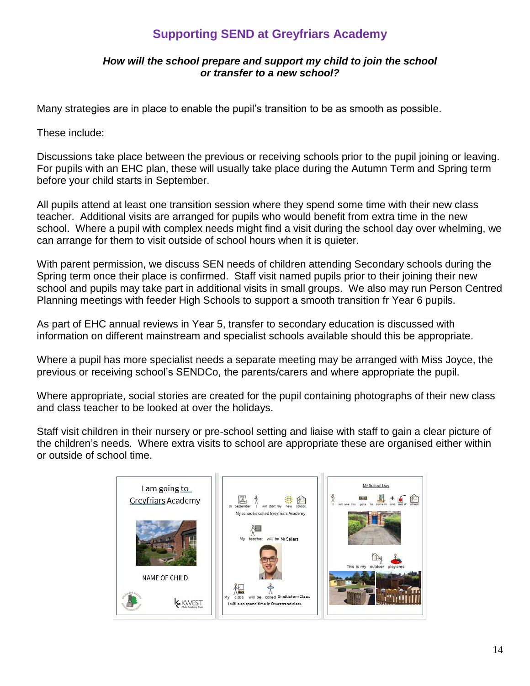#### *How will the school prepare and support my child to join the school or transfer to a new school?*

<span id="page-13-0"></span>Many strategies are in place to enable the pupil's transition to be as smooth as possible.

These include:

Discussions take place between the previous or receiving schools prior to the pupil joining or leaving. For pupils with an EHC plan, these will usually take place during the Autumn Term and Spring term before your child starts in September.

All pupils attend at least one transition session where they spend some time with their new class teacher. Additional visits are arranged for pupils who would benefit from extra time in the new school. Where a pupil with complex needs might find a visit during the school day over whelming, we can arrange for them to visit outside of school hours when it is quieter.

With parent permission, we discuss SEN needs of children attending Secondary schools during the Spring term once their place is confirmed. Staff visit named pupils prior to their joining their new school and pupils may take part in additional visits in small groups. We also may run Person Centred Planning meetings with feeder High Schools to support a smooth transition fr Year 6 pupils.

As part of EHC annual reviews in Year 5, transfer to secondary education is discussed with information on different mainstream and specialist schools available should this be appropriate.

Where a pupil has more specialist needs a separate meeting may be arranged with Miss Joyce, the previous or receiving school's SENDCo, the parents/carers and where appropriate the pupil.

Where appropriate, social stories are created for the pupil containing photographs of their new class and class teacher to be looked at over the holidays.

Staff visit children in their nursery or pre-school setting and liaise with staff to gain a clear picture of the children's needs. Where extra visits to school are appropriate these are organised either within or outside of school time.

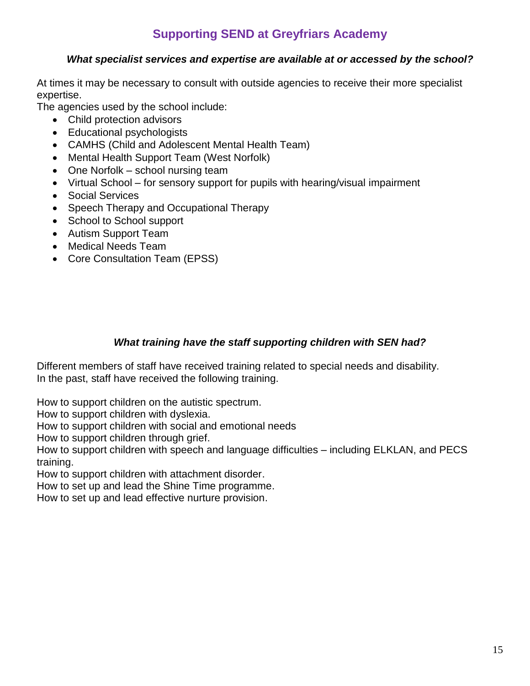#### *What specialist services and expertise are available at or accessed by the school?*

<span id="page-14-0"></span>At times it may be necessary to consult with outside agencies to receive their more specialist expertise.

The agencies used by the school include:

- Child protection advisors
- Educational psychologists
- CAMHS (Child and Adolescent Mental Health Team)
- Mental Health Support Team (West Norfolk)
- One Norfolk school nursing team
- Virtual School for sensory support for pupils with hearing/visual impairment
- Social Services
- Speech Therapy and Occupational Therapy
- School to School support
- Autism Support Team
- Medical Needs Team
- Core Consultation Team (EPSS)

#### *What training have the staff supporting children with SEN had?*

<span id="page-14-1"></span>Different members of staff have received training related to special needs and disability. In the past, staff have received the following training.

How to support children on the autistic spectrum.

How to support children with dyslexia.

How to support children with social and emotional needs

How to support children through grief.

How to support children with speech and language difficulties – including ELKLAN, and PECS training.

How to support children with attachment disorder.

How to set up and lead the Shine Time programme.

How to set up and lead effective nurture provision.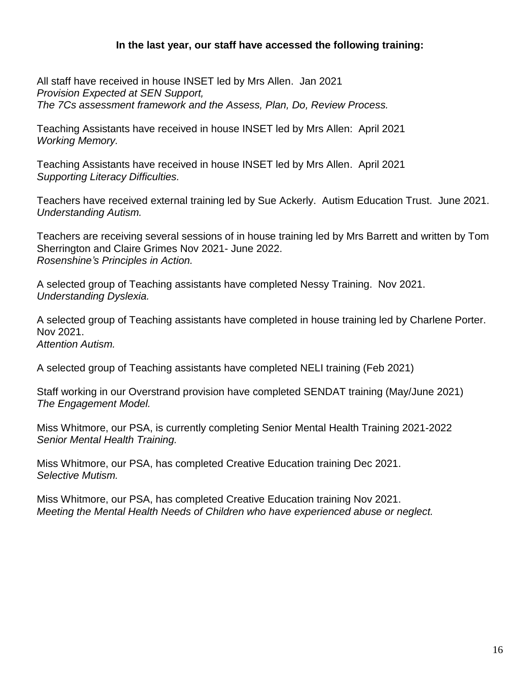#### **In the last year, our staff have accessed the following training:**

All staff have received in house INSET led by Mrs Allen. Jan 2021 *Provision Expected at SEN Support, The 7Cs assessment framework and the Assess, Plan, Do, Review Process.*

Teaching Assistants have received in house INSET led by Mrs Allen: April 2021 *Working Memory.*

Teaching Assistants have received in house INSET led by Mrs Allen. April 2021 *Supporting Literacy Difficulties.* 

Teachers have received external training led by Sue Ackerly. Autism Education Trust. June 2021. *Understanding Autism.*

Teachers are receiving several sessions of in house training led by Mrs Barrett and written by Tom Sherrington and Claire Grimes Nov 2021- June 2022. *Rosenshine's Principles in Action.* 

A selected group of Teaching assistants have completed Nessy Training. Nov 2021. *Understanding Dyslexia.*

A selected group of Teaching assistants have completed in house training led by Charlene Porter. Nov 2021. *Attention Autism.*

A selected group of Teaching assistants have completed NELI training (Feb 2021)

Staff working in our Overstrand provision have completed SENDAT training (May/June 2021) *The Engagement Model.*

Miss Whitmore, our PSA, is currently completing Senior Mental Health Training 2021-2022 *Senior Mental Health Training.*

Miss Whitmore, our PSA, has completed Creative Education training Dec 2021. *Selective Mutism.*

<span id="page-15-0"></span>Miss Whitmore, our PSA, has completed Creative Education training Nov 2021. *Meeting the Mental Health Needs of Children who have experienced abuse or neglect.*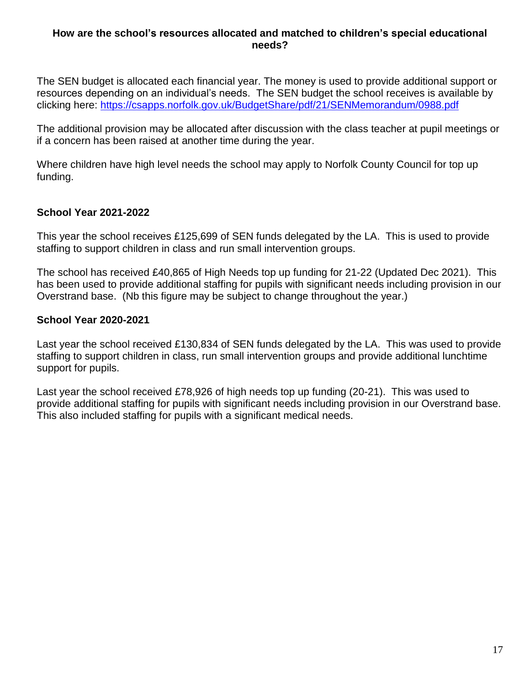#### **How are the school's resources allocated and matched to children's special educational needs?**

The SEN budget is allocated each financial year. The money is used to provide additional support or resources depending on an individual's needs. The SEN budget the school receives is available by clicking here: <https://csapps.norfolk.gov.uk/BudgetShare/pdf/21/SENMemorandum/0988.pdf>

The additional provision may be allocated after discussion with the class teacher at pupil meetings or if a concern has been raised at another time during the year.

Where children have high level needs the school may apply to Norfolk County Council for top up funding.

#### **School Year 2021-2022**

This year the school receives £125,699 of SEN funds delegated by the LA. This is used to provide staffing to support children in class and run small intervention groups.

The school has received £40,865 of High Needs top up funding for 21-22 (Updated Dec 2021). This has been used to provide additional staffing for pupils with significant needs including provision in our Overstrand base. (Nb this figure may be subject to change throughout the year.)

#### **School Year 2020-2021**

Last year the school received £130,834 of SEN funds delegated by the LA. This was used to provide staffing to support children in class, run small intervention groups and provide additional lunchtime support for pupils.

Last year the school received £78,926 of high needs top up funding (20-21). This was used to provide additional staffing for pupils with significant needs including provision in our Overstrand base. This also included staffing for pupils with a significant medical needs.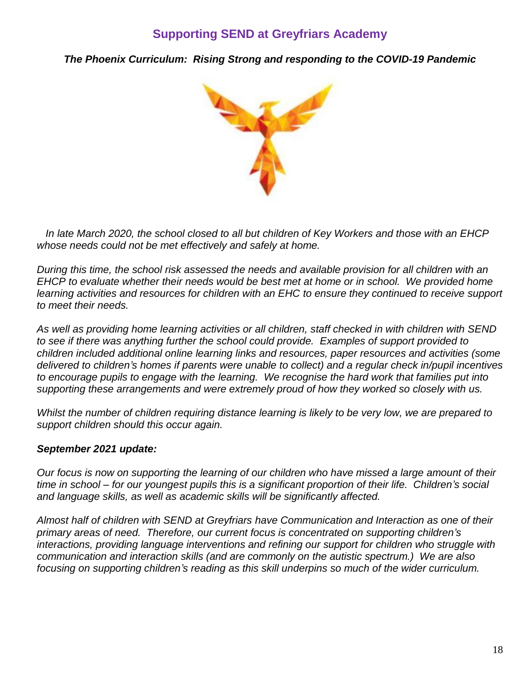<span id="page-17-0"></span>*The Phoenix Curriculum: Rising Strong and responding to the COVID-19 Pandemic*



 *In late March 2020, the school closed to all but children of Key Workers and those with an EHCP whose needs could not be met effectively and safely at home.*

*During this time, the school risk assessed the needs and available provision for all children with an EHCP to evaluate whether their needs would be best met at home or in school. We provided home learning activities and resources for children with an EHC to ensure they continued to receive support to meet their needs.*

*As well as providing home learning activities or all children, staff checked in with children with SEND to see if there was anything further the school could provide. Examples of support provided to children included additional online learning links and resources, paper resources and activities (some delivered to children's homes if parents were unable to collect) and a regular check in/pupil incentives to encourage pupils to engage with the learning. We recognise the hard work that families put into supporting these arrangements and were extremely proud of how they worked so closely with us.* 

*Whilst the number of children requiring distance learning is likely to be very low, we are prepared to support children should this occur again.*

#### *September 2021 update:*

*Our focus is now on supporting the learning of our children who have missed a large amount of their time in school – for our youngest pupils this is a significant proportion of their life. Children's social and language skills, as well as academic skills will be significantly affected.*

*Almost half of children with SEND at Greyfriars have Communication and Interaction as one of their primary areas of need. Therefore, our current focus is concentrated on supporting children's interactions, providing language interventions and refining our support for children who struggle with communication and interaction skills (and are commonly on the autistic spectrum.) We are also focusing on supporting children's reading as this skill underpins so much of the wider curriculum.*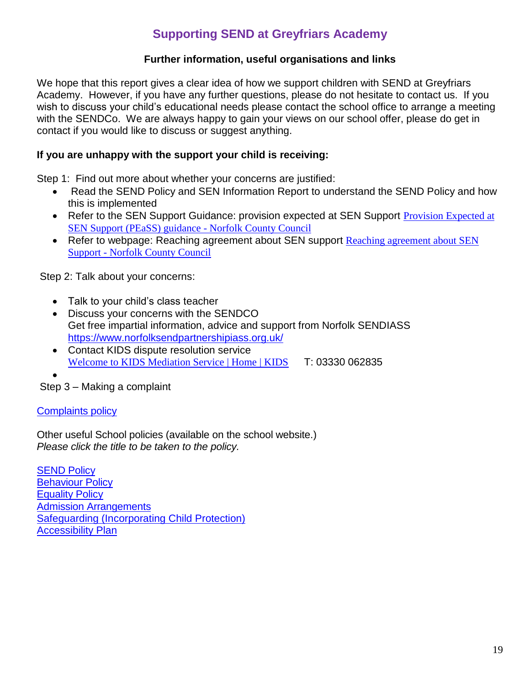#### **Further information, useful organisations and links**

We hope that this report gives a clear idea of how we support children with SEND at Greyfriars Academy. However, if you have any further questions, please do not hesitate to contact us. If you wish to discuss your child's educational needs please contact the school office to arrange a meeting with the SENDCo. We are always happy to gain your views on our school offer, please do get in contact if you would like to discuss or suggest anything.

#### **If you are unhappy with the support your child is receiving:**

Step 1: Find out more about whether your concerns are justified:

- Read the SEND Policy and SEN Information Report to understand the SEND Policy and how this is implemented
- Refer to the SEN Support Guidance: provision expected at SEN Support Provision Expected at [SEN Support \(PEaSS\) guidance -](https://www.norfolk.gov.uk/children-and-families/send-local-offer/education-and-learning/how-education-providers-support/special-educational-provision/provision-expected-at-sen-support) Norfolk County Council
- Refer to webpage: [Reaching agreement about SEN](https://www.norfolk.gov.uk/children-and-families/send-local-offer/education-and-learning/support-for-learning/special-educational-needs-sen-support/reaching-agreement-sen-support) support Reaching agreement about SEN Support - [Norfolk County Council](https://www.norfolk.gov.uk/children-and-families/send-local-offer/education-and-learning/support-for-learning/special-educational-needs-sen-support/reaching-agreement-sen-support)

Step 2: Talk about your concerns:

- Talk to your child's class teacher
- Discuss your concerns with the SENDCO Get free impartial information, advice and support from Norfolk SENDIASS <https://www.norfolksendpartnershipiass.org.uk/>
- Contact KIDS dispute resolution service [Welcome to KIDS Mediation Service | Home | KIDS](https://www.kids.org.uk/send-mediation) T: 03330 062835

•

Step 3 – Making a complaint

#### [Complaints policy](http://www.greyfriars.academy/wp-content/uploads/2017/01/Complaint-Procedure.pdf)

Other useful School policies (available on the school website.) *Please click the title to be taken to the policy.*

**[SEND](https://www.greyfriars.academy/wp-content/uploads/2019/09/Greyfriars-SEN-Policy-2019.pdf) Policy** [Behaviour Policy](https://www.greyfriars.academy/wp-content/uploads/2019/01/Behaviour-Policy.pdf) **[Equality Policy](http://www.greyfriars.academy/wp-content/uploads/2017/01/Equality-Policy.pdf) [Admission Arrangements](https://www.norfolk.gov.uk/education-and-learning/schools/school-admissions/admission-to-reception-classes)** [Safeguarding \(Incorporating Child Protection\)](https://www.greyfriars.academy/wp-content/uploads/2021/04/Safeguarding-Policy-September-2020.pdf) [Accessibility Plan](https://www.greyfriars.academy/wp-content/uploads/2021/04/KWEST_Academy_Accessibilty_Plan.pdf)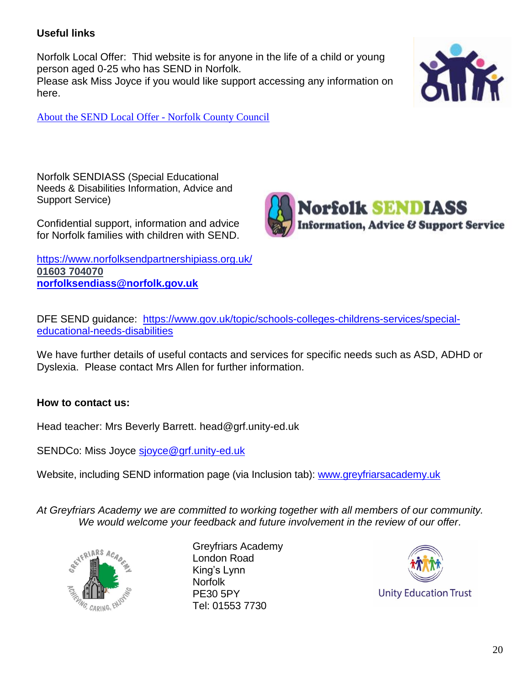#### **Useful links**

Norfolk Local Offer: Thid website is for anyone in the life of a child or young person aged 0-25 who has SEND in Norfolk. Please ask Miss Joyce if you would like support accessing any information on here.



[About the SEND Local Offer -](https://www.norfolk.gov.uk/children-and-families/send-local-offer/about-the-local-offer) Norfolk County Council

Norfolk SENDIASS (Special Educational Needs & Disabilities Information, Advice and Support Service)

Confidential support, information and advice for Norfolk families with children with SEND.

<https://www.norfolksendpartnershipiass.org.uk/> **01603 [704070](tel:01603%20704070) [norfolksendiass@norfolk.gov.uk](mailto:norfolksendiass@norfolk.gov.uk)**



DFE SEND guidance: [https://www.gov.uk/topic/schools-colleges-childrens-services/special](https://www.gov.uk/topic/schools-colleges-childrens-services/special-educational-needs-disabilities)[educational-needs-disabilities](https://www.gov.uk/topic/schools-colleges-childrens-services/special-educational-needs-disabilities)

We have further details of useful contacts and services for specific needs such as ASD, ADHD or Dyslexia. Please contact Mrs Allen for further information.

#### **How to contact us:**

Head teacher: Mrs Beverly Barrett. head@grf.unity-ed.uk

SENDCo: Miss Joyce [sjoyce@grf.unity-ed.uk](mailto:sjoyce@grf.unity-ed.uk)

Website, including SEND information page (via Inclusion tab): [www.greyfriarsacademy.uk](http://www.greyfriarsacademy.uk/)

*At Greyfriars Academy we are committed to working together with all members of our community. We would welcome your feedback and future involvement in the review of our offer.*



Greyfriars Academy London Road King's Lynn Norfolk PE30 5PY Tel: 01553 7730

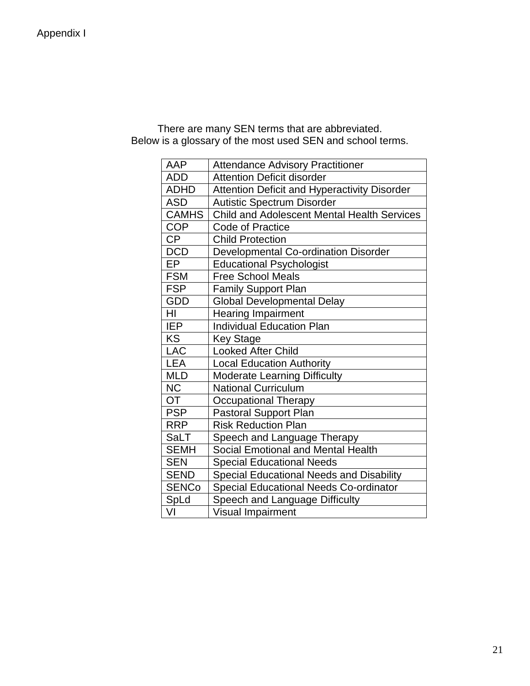<span id="page-20-0"></span>

| There are many SEN terms that are abbreviated.             |
|------------------------------------------------------------|
| Below is a glossary of the most used SEN and school terms. |

| AAP             | <b>Attendance Advisory Practitioner</b>             |
|-----------------|-----------------------------------------------------|
| <b>ADD</b>      | <b>Attention Deficit disorder</b>                   |
| <b>ADHD</b>     | <b>Attention Deficit and Hyperactivity Disorder</b> |
| <b>ASD</b>      | <b>Autistic Spectrum Disorder</b>                   |
| <b>CAMHS</b>    | <b>Child and Adolescent Mental Health Services</b>  |
| <b>COP</b>      | <b>Code of Practice</b>                             |
| $\overline{CP}$ | <b>Child Protection</b>                             |
| <b>DCD</b>      | Developmental Co-ordination Disorder                |
| EP              | <b>Educational Psychologist</b>                     |
| <b>FSM</b>      | <b>Free School Meals</b>                            |
| <b>FSP</b>      | <b>Family Support Plan</b>                          |
| <b>GDD</b>      | <b>Global Developmental Delay</b>                   |
| HI              | <b>Hearing Impairment</b>                           |
| <b>IEP</b>      | <b>Individual Education Plan</b>                    |
| <b>KS</b>       | <b>Key Stage</b>                                    |
| LAC             | <b>Looked After Child</b>                           |
| <b>LEA</b>      | <b>Local Education Authority</b>                    |
| <b>MLD</b>      | <b>Moderate Learning Difficulty</b>                 |
| <b>NC</b>       | <b>National Curriculum</b>                          |
| $\overline{OT}$ | <b>Occupational Therapy</b>                         |
| <b>PSP</b>      | <b>Pastoral Support Plan</b>                        |
| <b>RRP</b>      | <b>Risk Reduction Plan</b>                          |
| <b>SaLT</b>     | Speech and Language Therapy                         |
| <b>SEMH</b>     | Social Emotional and Mental Health                  |
| <b>SEN</b>      | <b>Special Educational Needs</b>                    |
| <b>SEND</b>     | <b>Special Educational Needs and Disability</b>     |
| <b>SENCo</b>    | <b>Special Educational Needs Co-ordinator</b>       |
| SpLd            | Speech and Language Difficulty                      |
| VI              | Visual Impairment                                   |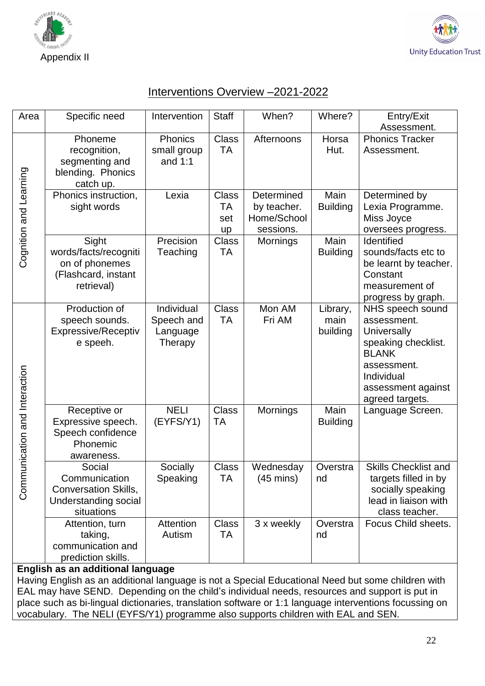<span id="page-21-0"></span>



### Interventions Overview –2021-2022

| Area                          | Specific need                                                                                | Intervention                                    | <b>Staff</b>                           | When?                                                 | Where?                       | Entry/Exit                                                                                                                                                  |  |  |
|-------------------------------|----------------------------------------------------------------------------------------------|-------------------------------------------------|----------------------------------------|-------------------------------------------------------|------------------------------|-------------------------------------------------------------------------------------------------------------------------------------------------------------|--|--|
|                               |                                                                                              |                                                 |                                        |                                                       |                              | Assessment.                                                                                                                                                 |  |  |
| Cognition and Learning        | Phoneme<br>recognition,<br>segmenting and<br>blending. Phonics<br>catch up.                  | Phonics<br>small group<br>and $1:1$             | <b>Class</b><br><b>TA</b>              | Afternoons                                            | Horsa<br>Hut.                | <b>Phonics Tracker</b><br>Assessment.                                                                                                                       |  |  |
|                               | Phonics instruction,<br>sight words                                                          | Lexia                                           | <b>Class</b><br>TA<br>set<br><b>up</b> | Determined<br>by teacher.<br>Home/School<br>sessions. | Main<br><b>Building</b>      | Determined by<br>Lexia Programme.<br>Miss Joyce<br>oversees progress.                                                                                       |  |  |
|                               | Sight<br>words/facts/recogniti<br>on of phonemes<br>(Flashcard, instant<br>retrieval)        | Precision<br>Teaching                           | <b>Class</b><br>ТA                     | Mornings                                              | Main<br><b>Building</b>      | Identified<br>sounds/facts etc to<br>be learnt by teacher.<br>Constant<br>measurement of<br>progress by graph.                                              |  |  |
| Communication and Interaction | Production of<br>speech sounds.<br>Expressive/Receptiv<br>e speeh.                           | Individual<br>Speech and<br>Language<br>Therapy | <b>Class</b><br><b>TA</b>              | Mon AM<br>Fri AM                                      | Library,<br>main<br>building | NHS speech sound<br>assessment.<br>Universally<br>speaking checklist.<br><b>BLANK</b><br>assessment.<br>Individual<br>assessment against<br>agreed targets. |  |  |
|                               | Receptive or<br>Expressive speech.<br>Speech confidence<br>Phonemic<br>awareness.            | <b>NELI</b><br>(EYFS/Y1)                        | <b>Class</b><br>TA                     | Mornings                                              | Main<br><b>Building</b>      | Language Screen.                                                                                                                                            |  |  |
|                               | Social<br>Communication<br><b>Conversation Skills,</b><br>Understanding social<br>situations | Socially<br>Speaking                            | <b>Class</b><br>ТA                     | Wednesday<br>$(45 \text{ mins})$                      | Overstra<br>nd               | <b>Skills Checklist and</b><br>targets filled in by<br>socially speaking<br>lead in liaison with<br>class teacher.                                          |  |  |
|                               | Attention, turn<br>taking,<br>communication and<br>prediction skills.                        | Attention<br>Autism                             | Class<br>ТA                            | 3 x weekly                                            | Overstra<br>nd               | Focus Child sheets.                                                                                                                                         |  |  |
|                               | English as an additional language                                                            |                                                 |                                        |                                                       |                              |                                                                                                                                                             |  |  |

Having English as an additional language is not a Special Educational Need but some children with EAL may have SEND. Depending on the child's individual needs, resources and support is put in place such as bi-lingual dictionaries, translation software or 1:1 language interventions focussing on vocabulary. The NELI (EYFS/Y1) programme also supports children with EAL and SEN.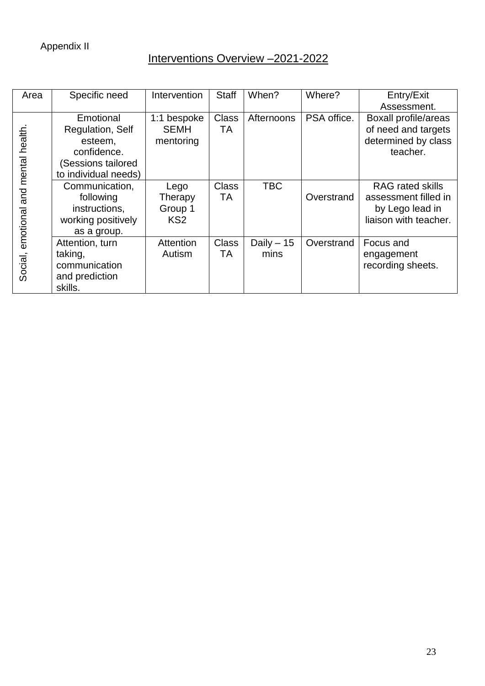## Interventions Overview –2021-2022

| Area                                | Specific need        | Intervention    | <b>Staff</b> | When?       | Where?      | Entry/Exit                  |
|-------------------------------------|----------------------|-----------------|--------------|-------------|-------------|-----------------------------|
|                                     |                      |                 |              |             |             | Assessment.                 |
|                                     | Emotional            | 1:1 bespoke     | <b>Class</b> | Afternoons  | PSA office. | <b>Boxall profile/areas</b> |
|                                     | Regulation, Self     | <b>SEMH</b>     | <b>TA</b>    |             |             | of need and targets         |
|                                     | esteem,              | mentoring       |              |             |             | determined by class         |
|                                     | confidence.          |                 |              |             |             | teacher.                    |
|                                     | (Sessions tailored   |                 |              |             |             |                             |
|                                     | to individual needs) |                 |              |             |             |                             |
| Social, emotional and mental health | Communication,       | Lego            | <b>Class</b> | <b>TBC</b>  |             | <b>RAG</b> rated skills     |
|                                     | following            | Therapy         | TA           |             | Overstrand  | assessment filled in        |
|                                     | instructions,        | Group 1         |              |             |             | by Lego lead in             |
|                                     | working positively   | KS <sub>2</sub> |              |             |             | liaison with teacher.       |
|                                     | as a group.          |                 |              |             |             |                             |
|                                     | Attention, turn      | Attention       | <b>Class</b> | Daily $-15$ | Overstrand  | Focus and                   |
|                                     | taking,              | Autism          | TA           | mins        |             | engagement                  |
|                                     | communication        |                 |              |             |             | recording sheets.           |
|                                     | and prediction       |                 |              |             |             |                             |
|                                     | skills.              |                 |              |             |             |                             |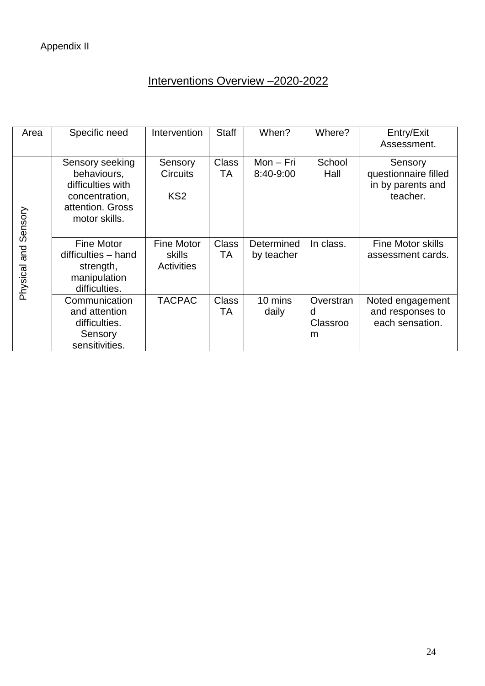# Interventions Overview –2020-2022

| Area                    | Specific need                                                                                              | Intervention                                            | <b>Staff</b>       | When?                    | Where?                          | Entry/Exit<br>Assessment.                                        |
|-------------------------|------------------------------------------------------------------------------------------------------------|---------------------------------------------------------|--------------------|--------------------------|---------------------------------|------------------------------------------------------------------|
| Sensory<br>Physical and | Sensory seeking<br>behaviours,<br>difficulties with<br>concentration,<br>attention. Gross<br>motor skills. | Sensory<br><b>Circuits</b><br>KS <sub>2</sub>           | <b>Class</b><br>TA | $Mon-Fri$<br>8:40-9:00   | School<br>Hall                  | Sensory<br>questionnaire filled<br>in by parents and<br>teacher. |
|                         | <b>Fine Motor</b><br>difficulties - hand<br>strength,<br>manipulation<br>difficulties.                     | <b>Fine Motor</b><br><b>skills</b><br><b>Activities</b> | <b>Class</b><br>TA | Determined<br>by teacher | In class.                       | <b>Fine Motor skills</b><br>assessment cards.                    |
|                         | Communication<br>and attention<br>difficulties.<br>Sensory<br>sensitivities.                               | <b>TACPAC</b>                                           | Class<br>TA        | 10 mins<br>daily         | Overstran<br>d<br>Classroo<br>m | Noted engagement<br>and responses to<br>each sensation.          |